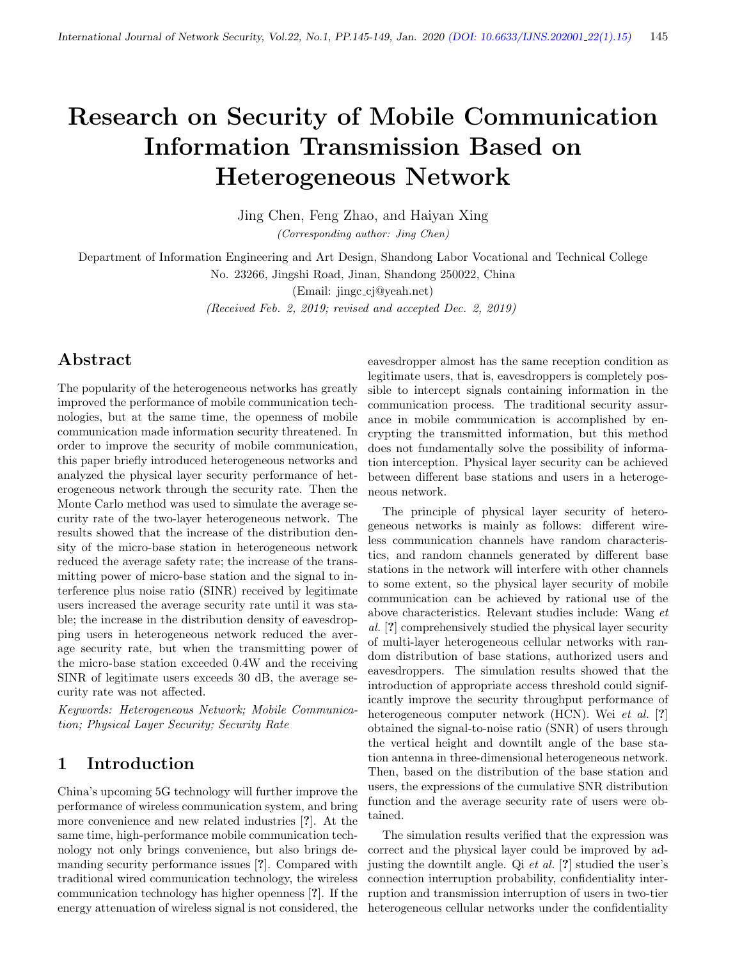# Research on Security of Mobile Communication Information Transmission Based on Heterogeneous Network

Jing Chen, Feng Zhao, and Haiyan Xing (Corresponding author: Jing Chen)

Department of Information Engineering and Art Design, Shandong Labor Vocational and Technical College No. 23266, Jingshi Road, Jinan, Shandong 250022, China

(Email: jingc cj@yeah.net)

(Received Feb. 2, 2019; revised and accepted Dec. 2, 2019)

### Abstract

The popularity of the heterogeneous networks has greatly improved the performance of mobile communication technologies, but at the same time, the openness of mobile communication made information security threatened. In order to improve the security of mobile communication, this paper briefly introduced heterogeneous networks and analyzed the physical layer security performance of heterogeneous network through the security rate. Then the Monte Carlo method was used to simulate the average security rate of the two-layer heterogeneous network. The results showed that the increase of the distribution density of the micro-base station in heterogeneous network reduced the average safety rate; the increase of the transmitting power of micro-base station and the signal to interference plus noise ratio (SINR) received by legitimate users increased the average security rate until it was stable; the increase in the distribution density of eavesdropping users in heterogeneous network reduced the average security rate, but when the transmitting power of the micro-base station exceeded 0.4W and the receiving SINR of legitimate users exceeds 30 dB, the average security rate was not affected.

Keywords: Heterogeneous Network; Mobile Communication; Physical Layer Security; Security Rate

### 1 Introduction

China's upcoming 5G technology will further improve the performance of wireless communication system, and bring more convenience and new related industries [?]. At the same time, high-performance mobile communication technology not only brings convenience, but also brings demanding security performance issues [?]. Compared with traditional wired communication technology, the wireless communication technology has higher openness [?]. If the energy attenuation of wireless signal is not considered, the

eavesdropper almost has the same reception condition as legitimate users, that is, eavesdroppers is completely possible to intercept signals containing information in the communication process. The traditional security assurance in mobile communication is accomplished by encrypting the transmitted information, but this method does not fundamentally solve the possibility of information interception. Physical layer security can be achieved between different base stations and users in a heterogeneous network.

The principle of physical layer security of heterogeneous networks is mainly as follows: different wireless communication channels have random characteristics, and random channels generated by different base stations in the network will interfere with other channels to some extent, so the physical layer security of mobile communication can be achieved by rational use of the above characteristics. Relevant studies include: Wang et al. [?] comprehensively studied the physical layer security of multi-layer heterogeneous cellular networks with random distribution of base stations, authorized users and eavesdroppers. The simulation results showed that the introduction of appropriate access threshold could significantly improve the security throughput performance of heterogeneous computer network (HCN). Wei et al. [?] obtained the signal-to-noise ratio (SNR) of users through the vertical height and downtilt angle of the base station antenna in three-dimensional heterogeneous network. Then, based on the distribution of the base station and users, the expressions of the cumulative SNR distribution function and the average security rate of users were obtained.

The simulation results verified that the expression was correct and the physical layer could be improved by adjusting the downtilt angle. Qi et al. [?] studied the user's connection interruption probability, confidentiality interruption and transmission interruption of users in two-tier heterogeneous cellular networks under the confidentiality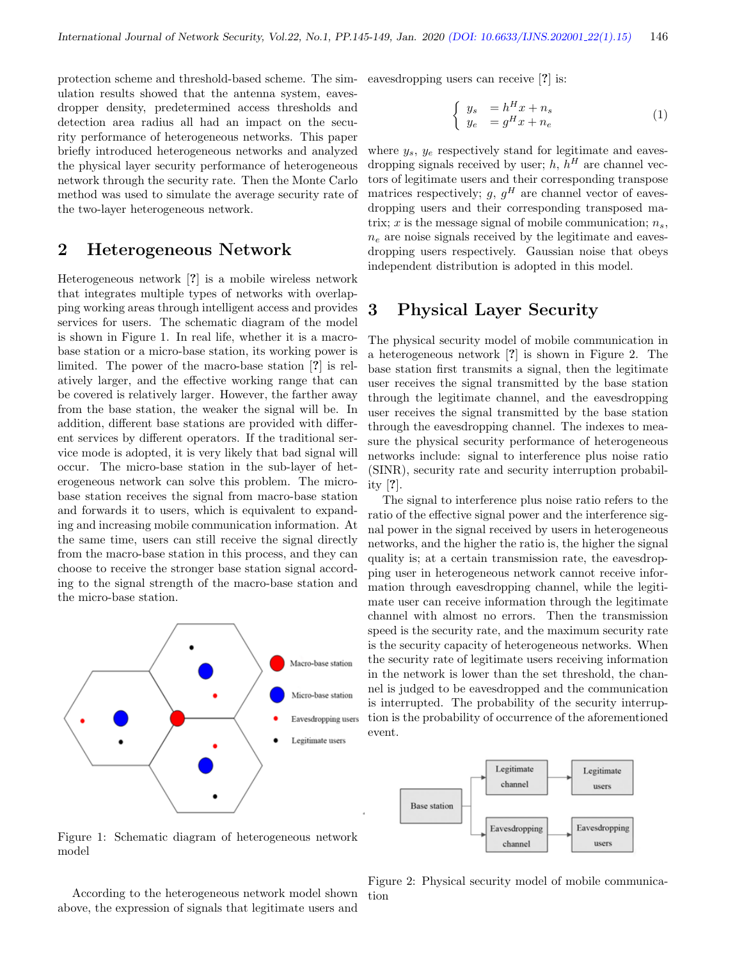protection scheme and threshold-based scheme. The simulation results showed that the antenna system, eavesdropper density, predetermined access thresholds and detection area radius all had an impact on the security performance of heterogeneous networks. This paper briefly introduced heterogeneous networks and analyzed the physical layer security performance of heterogeneous network through the security rate. Then the Monte Carlo method was used to simulate the average security rate of the two-layer heterogeneous network.

### 2 Heterogeneous Network

Heterogeneous network [?] is a mobile wireless network that integrates multiple types of networks with overlapping working areas through intelligent access and provides services for users. The schematic diagram of the model is shown in Figure 1. In real life, whether it is a macrobase station or a micro-base station, its working power is limited. The power of the macro-base station [?] is relatively larger, and the effective working range that can be covered is relatively larger. However, the farther away from the base station, the weaker the signal will be. In addition, different base stations are provided with different services by different operators. If the traditional service mode is adopted, it is very likely that bad signal will occur. The micro-base station in the sub-layer of heterogeneous network can solve this problem. The microbase station receives the signal from macro-base station and forwards it to users, which is equivalent to expanding and increasing mobile communication information. At the same time, users can still receive the signal directly from the macro-base station in this process, and they can choose to receive the stronger base station signal according to the signal strength of the macro-base station and the micro-base station.



eavesdropping users can receive [?] is:

$$
\begin{cases}\n y_s &= h^H x + n_s \\
y_e &= g^H x + n_e\n\end{cases}
$$
\n(1)

where  $y_s$ ,  $y_e$  respectively stand for legitimate and eavesdropping signals received by user;  $h, h<sup>H</sup>$  are channel vectors of legitimate users and their corresponding transpose matrices respectively;  $g, g<sup>H</sup>$  are channel vector of eavesdropping users and their corresponding transposed matrix; x is the message signal of mobile communication;  $n_s$ ,  $n_e$  are noise signals received by the legitimate and eavesdropping users respectively. Gaussian noise that obeys independent distribution is adopted in this model.

### 3 Physical Layer Security

The physical security model of mobile communication in a heterogeneous network [?] is shown in Figure 2. The base station first transmits a signal, then the legitimate user receives the signal transmitted by the base station through the legitimate channel, and the eavesdropping user receives the signal transmitted by the base station through the eavesdropping channel. The indexes to measure the physical security performance of heterogeneous networks include: signal to interference plus noise ratio (SINR), security rate and security interruption probability [?].

The signal to interference plus noise ratio refers to the ratio of the effective signal power and the interference signal power in the signal received by users in heterogeneous networks, and the higher the ratio is, the higher the signal quality is; at a certain transmission rate, the eavesdropping user in heterogeneous network cannot receive information through eavesdropping channel, while the legitimate user can receive information through the legitimate channel with almost no errors. Then the transmission speed is the security rate, and the maximum security rate is the security capacity of heterogeneous networks. When the security rate of legitimate users receiving information in the network is lower than the set threshold, the channel is judged to be eavesdropped and the communication is interrupted. The probability of the security interruption is the probability of occurrence of the aforementioned event.



Figure 1: Schematic diagram of heterogeneous network model

According to the heterogeneous network model shown above, the expression of signals that legitimate users and

Figure 2: Physical security model of mobile communication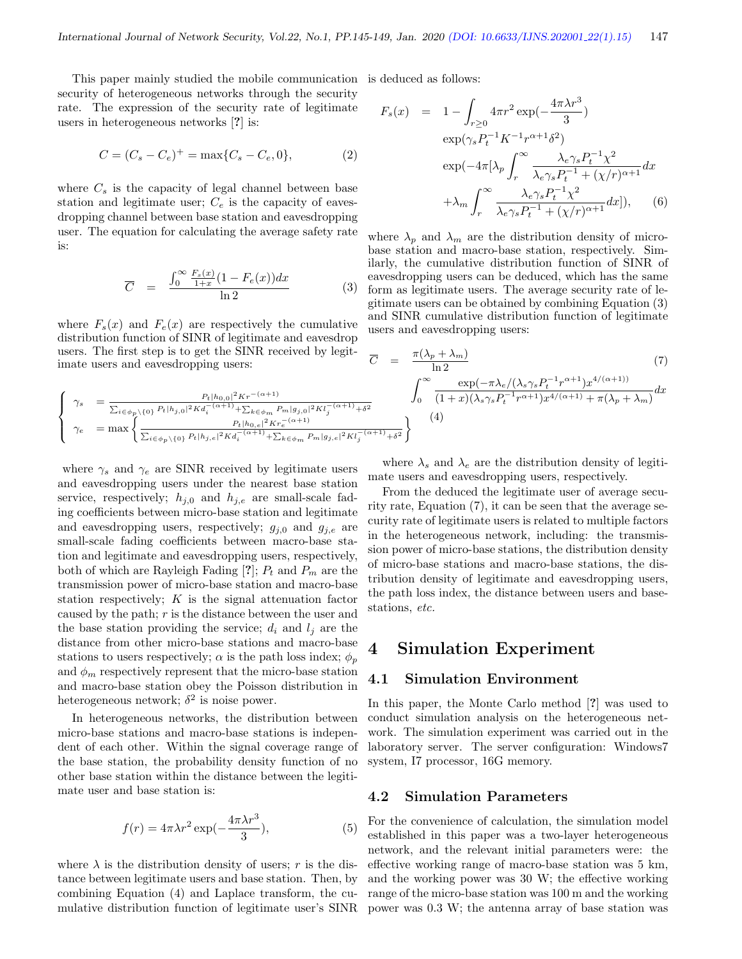This paper mainly studied the mobile communication is deduced as follows: security of heterogeneous networks through the security rate. The expression of the security rate of legitimate users in heterogeneous networks [?] is:

$$
C = (C_s - C_e)^+ = \max\{C_s - C_e, 0\},\tag{2}
$$

where  $C_s$  is the capacity of legal channel between base station and legitimate user;  $C_e$  is the capacity of eavesdropping channel between base station and eavesdropping user. The equation for calculating the average safety rate is:

$$
\overline{C} = \frac{\int_0^\infty \frac{F_s(x)}{1+x} (1 - F_e(x)) dx}{\ln 2} \tag{3}
$$

where  $F_s(x)$  and  $F_e(x)$  are respectively the cumulative distribution function of SINR of legitimate and eavesdrop users. The first step is to get the SINR received by legitimate users and eavesdropping users:

$$
\left\{\begin{array}{lll} \gamma_s&=\frac{P_t|h_{0,0}|^2Kr^{-(\alpha+1)}}{\sum_{i\in\phi_p\backslash\{0\}}P_t|h_{j,0}|^2Ka_i^{-(\alpha+1)}+\sum_{k\in\phi_m}P_m|g_{j,0}|^2Kl_j^{-(\alpha+1)}+\delta^2}\\ \gamma_e&=\max\left\{\frac{P_t|h_{0,e}|^2Kr_e^{-(\alpha+1)}}{\sum_{i\in\phi_p\backslash\{0\}}P_t|h_{j,e}|^2Kd_i^{-(\alpha+1)}+\sum_{k\in\phi_m}P_m|g_{j,e}|^2Kl_j^{-(\alpha+1)}+\delta}\right. \end{array}\right.
$$

where  $\gamma_s$  and  $\gamma_e$  are SINR received by legitimate users and eavesdropping users under the nearest base station service, respectively;  $h_{j,0}$  and  $h_{j,e}$  are small-scale fading coefficients between micro-base station and legitimate and eavesdropping users, respectively;  $q_{i,0}$  and  $q_{i,e}$  are small-scale fading coefficients between macro-base station and legitimate and eavesdropping users, respectively, both of which are Rayleigh Fading [?];  $P_t$  and  $P_m$  are the transmission power of micro-base station and macro-base station respectively;  $K$  is the signal attenuation factor caused by the path;  $r$  is the distance between the user and the base station providing the service;  $d_i$  and  $l_j$  are the distance from other micro-base stations and macro-base stations to users respectively;  $\alpha$  is the path loss index;  $\phi_p$ and  $\phi_m$  respectively represent that the micro-base station and macro-base station obey the Poisson distribution in heterogeneous network;  $\delta^2$  is noise power.

In heterogeneous networks, the distribution between micro-base stations and macro-base stations is independent of each other. Within the signal coverage range of the base station, the probability density function of no other base station within the distance between the legitimate user and base station is:

$$
f(r) = 4\pi\lambda r^2 \exp(-\frac{4\pi\lambda r^3}{3}),\tag{5}
$$

where  $\lambda$  is the distribution density of users; r is the distance between legitimate users and base station. Then, by combining Equation (4) and Laplace transform, the cumulative distribution function of legitimate user's SINR

$$
F_s(x) = 1 - \int_{r\geq 0} 4\pi r^2 \exp\left(-\frac{4\pi \lambda r^3}{3}\right)
$$
  
\n
$$
\exp\left(\gamma_s P_t^{-1} K^{-1} r^{\alpha+1} \delta^2\right)
$$
  
\n
$$
\exp\left(-4\pi \left[\lambda_p \int_r^{\infty} \frac{\lambda_e \gamma_s P_t^{-1} \chi^2}{\lambda_e \gamma_s P_t^{-1} + (\chi/r)^{\alpha+1}} dx\right]
$$
  
\n
$$
+ \lambda_m \int_r^{\infty} \frac{\lambda_e \gamma_s P_t^{-1} \chi^2}{\lambda_e \gamma_s P_t^{-1} + (\chi/r)^{\alpha+1}} dx \right], \quad (6)
$$

where  $\lambda_p$  and  $\lambda_m$  are the distribution density of microbase station and macro-base station, respectively. Similarly, the cumulative distribution function of SINR of eavesdropping users can be deduced, which has the same form as legitimate users. The average security rate of legitimate users can be obtained by combining Equation (3) and SINR cumulative distribution function of legitimate users and eavesdropping users:

$$
\overline{C} = \frac{\pi(\lambda_p + \lambda_m)}{\ln 2} \tag{7}
$$
\n
$$
\int_0^\infty \frac{\exp(-\pi \lambda_e / (\lambda_s \gamma_s P_t^{-1} r^{\alpha+1}) x^{4/(\alpha+1)})}{(1+x)(\lambda_s \gamma_s P_t^{-1} r^{\alpha+1}) x^{4/(\alpha+1)} + \pi(\lambda_p + \lambda_m)} dx
$$
\n
$$
\frac{\alpha+1}{\alpha+1} + \delta^2
$$
\n
$$
\left.\begin{array}{l}\n\text{(4)}\n\end{array}\right.
$$

where  $\lambda_s$  and  $\lambda_e$  are the distribution density of legitimate users and eavesdropping users, respectively.

From the deduced the legitimate user of average security rate, Equation (7), it can be seen that the average security rate of legitimate users is related to multiple factors in the heterogeneous network, including: the transmission power of micro-base stations, the distribution density of micro-base stations and macro-base stations, the distribution density of legitimate and eavesdropping users, the path loss index, the distance between users and basestations, etc.

### 4 Simulation Experiment

#### 4.1 Simulation Environment

In this paper, the Monte Carlo method [?] was used to conduct simulation analysis on the heterogeneous network. The simulation experiment was carried out in the laboratory server. The server configuration: Windows7 system, I7 processor, 16G memory.

#### 4.2 Simulation Parameters

For the convenience of calculation, the simulation model established in this paper was a two-layer heterogeneous network, and the relevant initial parameters were: the effective working range of macro-base station was 5 km, and the working power was 30 W; the effective working range of the micro-base station was 100 m and the working power was 0.3 W; the antenna array of base station was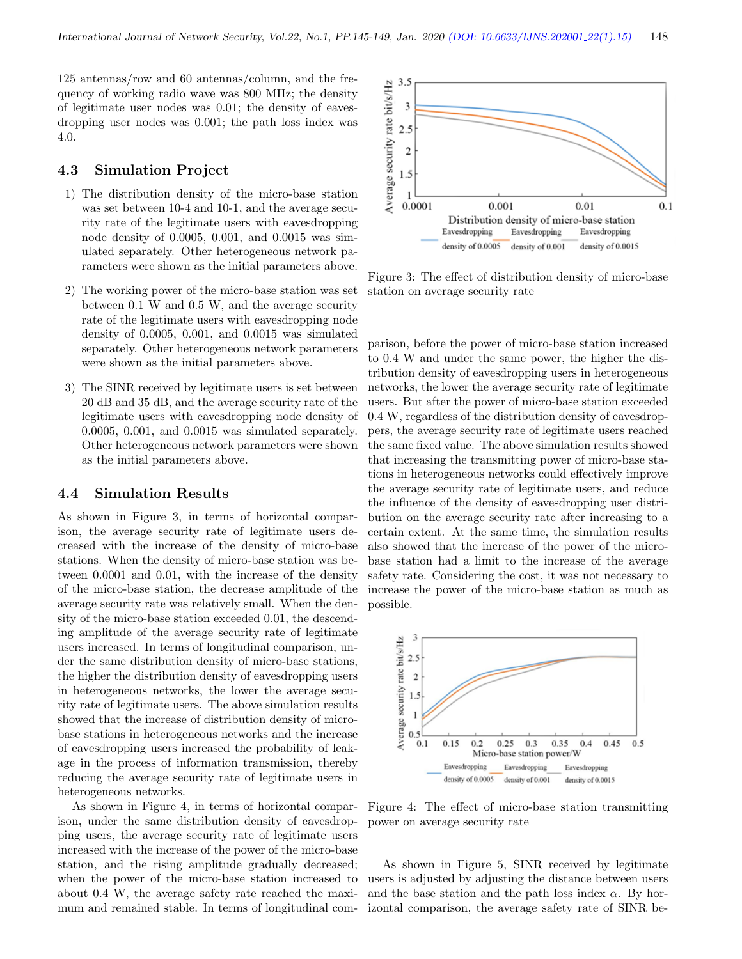125 antennas/row and 60 antennas/column, and the frequency of working radio wave was 800 MHz; the density of legitimate user nodes was 0.01; the density of eavesdropping user nodes was 0.001; the path loss index was 4.0.

#### 4.3 Simulation Project

- 1) The distribution density of the micro-base station was set between 10-4 and 10-1, and the average security rate of the legitimate users with eavesdropping node density of 0.0005, 0.001, and 0.0015 was simulated separately. Other heterogeneous network parameters were shown as the initial parameters above.
- 2) The working power of the micro-base station was set between 0.1 W and 0.5 W, and the average security rate of the legitimate users with eavesdropping node density of 0.0005, 0.001, and 0.0015 was simulated separately. Other heterogeneous network parameters were shown as the initial parameters above.
- 3) The SINR received by legitimate users is set between 20 dB and 35 dB, and the average security rate of the legitimate users with eavesdropping node density of 0.0005, 0.001, and 0.0015 was simulated separately. Other heterogeneous network parameters were shown as the initial parameters above.

#### 4.4 Simulation Results

As shown in Figure 3, in terms of horizontal comparison, the average security rate of legitimate users decreased with the increase of the density of micro-base stations. When the density of micro-base station was between 0.0001 and 0.01, with the increase of the density of the micro-base station, the decrease amplitude of the average security rate was relatively small. When the density of the micro-base station exceeded 0.01, the descending amplitude of the average security rate of legitimate users increased. In terms of longitudinal comparison, under the same distribution density of micro-base stations, the higher the distribution density of eavesdropping users in heterogeneous networks, the lower the average security rate of legitimate users. The above simulation results showed that the increase of distribution density of microbase stations in heterogeneous networks and the increase of eavesdropping users increased the probability of leakage in the process of information transmission, thereby reducing the average security rate of legitimate users in heterogeneous networks.

As shown in Figure 4, in terms of horizontal comparison, under the same distribution density of eavesdropping users, the average security rate of legitimate users increased with the increase of the power of the micro-base station, and the rising amplitude gradually decreased; when the power of the micro-base station increased to about 0.4 W, the average safety rate reached the maximum and remained stable. In terms of longitudinal com-



Figure 3: The effect of distribution density of micro-base station on average security rate

parison, before the power of micro-base station increased to 0.4 W and under the same power, the higher the distribution density of eavesdropping users in heterogeneous networks, the lower the average security rate of legitimate users. But after the power of micro-base station exceeded 0.4 W, regardless of the distribution density of eavesdroppers, the average security rate of legitimate users reached the same fixed value. The above simulation results showed that increasing the transmitting power of micro-base stations in heterogeneous networks could effectively improve the average security rate of legitimate users, and reduce the influence of the density of eavesdropping user distribution on the average security rate after increasing to a certain extent. At the same time, the simulation results also showed that the increase of the power of the microbase station had a limit to the increase of the average safety rate. Considering the cost, it was not necessary to increase the power of the micro-base station as much as possible.



Figure 4: The effect of micro-base station transmitting power on average security rate

As shown in Figure 5, SINR received by legitimate users is adjusted by adjusting the distance between users and the base station and the path loss index  $\alpha$ . By horizontal comparison, the average safety rate of SINR be